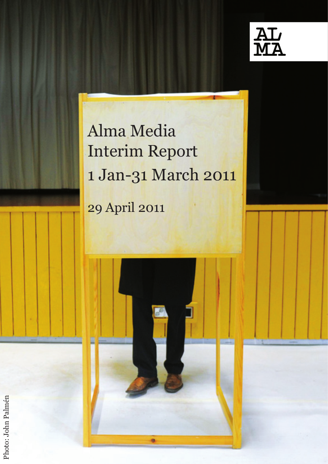

# Alma Media Interim Report 1 Jan-31 March 2011

29 April 2011



Photo: John Palmén Photo: John Palmén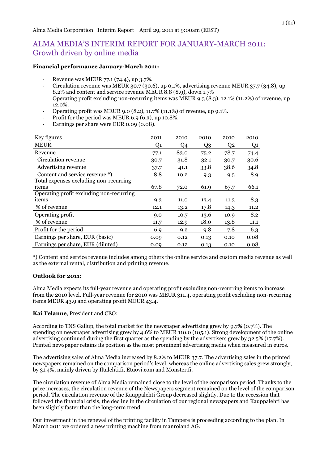# ALMA MEDIA'S INTERIM REPORT FOR JANUARY-MARCH 2011: Growth driven by online media

## **Financial performance January-March 2011:**

- Revenue was MEUR 77.1 (74.4), up 3.7%.
- Circulation revenue was MEUR 30.7 (30.6), up 0,1%, advertising revenue MEUR 37.7 (34.8), up 8.2% and content and service revenue MEUR 8.8 (8.9), down 1.7%
- Operating profit excluding non-recurring items was MEUR 9.3 (8.3), 12.1% (11.2%) of revenue, up 12.0%.
- Operating profit was MEUR 9.0 (8.2), 11.7% (11.1%) of revenue, up 9.1%.
- Profit for the period was MEUR  $6.9$   $(6.3)$ , up 10.8%.
- Earnings per share were EUR 0.09 (0.08).

| Key figures                              | 2011 | 2010 | 2010           | 2010           | 2010 |
|------------------------------------------|------|------|----------------|----------------|------|
| <b>MEUR</b>                              | Q1   | Q4   | Q <sub>3</sub> | Q <sub>2</sub> | Q1   |
| Revenue                                  | 77.1 | 83.0 | 75.2           | 78.7           | 74.4 |
| Circulation revenue                      | 30.7 | 31.8 | 32.1           | 30.7           | 30.6 |
| Advertising revenue                      | 37.7 | 41.1 | 33.8           | 38.6           | 34.8 |
| Content and service revenue *)           | 8.8  | 10.2 | 9.3            | 9.5            | 8.9  |
| Total expenses excluding non-recurring   |      |      |                |                |      |
| items                                    | 67.8 | 72.0 | 61.9           | 67.7           | 66.1 |
| Operating profit excluding non-recurring |      |      |                |                |      |
| items                                    | 9.3  | 11.0 | 13.4           | 11.3           | 8.3  |
| % of revenue                             | 12.1 | 13.2 | 17.8           | 14.3           | 11.2 |
| Operating profit                         | 9.0  | 10.7 | 13.6           | 10.9           | 8.2  |
| % of revenue                             | 11.7 | 12.9 | 18.0           | 13.8           | 11.1 |
| Profit for the period                    | 6.9  | 9.2  | 9.8            | 7.8            | 6.3  |
| Earnings per share, EUR (basic)          | 0.09 | 0.12 | 0.13           | 0.10           | 0.08 |
| Earnings per share, EUR (diluted)        | 0.09 | 0.12 | 0.13           | 0.10           | 0.08 |

\*) Content and service revenue includes among others the online service and custom media revenue as well as the external rental, distribution and printing revenue.

# **Outlook for 2011:**

Alma Media expects its full-year revenue and operating profit excluding non-recurring items to increase from the 2010 level. Full-year revenue for 2010 was MEUR 311.4, operating profit excluding non-recurring items MEUR 43.9 and operating profit MEUR 43.4.

# **Kai Telanne**, President and CEO:

According to TNS Gallup, the total market for the newspaper advertising grew by 9.7% (0.7%). The spending on newspaper advertising grew by 4.6% to MEUR 110.0 (105.1). Strong development of the online advertising continued during the first quarter as the spending by the advertisers grew by 32.5% (17.7%). Printed newspaper retains its position as the most prominent advertising media when measured in euros.

The advertising sales of Alma Media increased by 8.2% to MEUR 37.7. The advertising sales in the printed newspapers remained on the comparison period's level, whereas the online advertising sales grew strongly, by 31.4%, mainly driven by Iltalehti.fi, Etuovi.com and Monster.fi.

The circulation revenue of Alma Media remained close to the level of the comparison period. Thanks to the price increases, the circulation revenue of the Newspapers segment remained on the level of the comparison period. The circulation revenue of the Kauppalehti Group decreased slightly. Due to the recession that followed the financial crisis, the decline in the circulation of our regional newspapers and Kauppalehti has been slightly faster than the long-term trend.

Our investment in the renewal of the printing facility in Tampere is proceeding according to the plan. In March 2011 we ordered a new printing machine from manroland AG.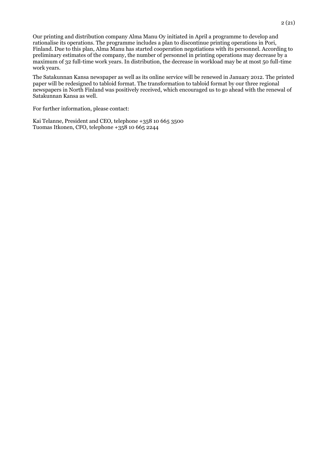Our printing and distribution company Alma Manu Oy initiated in April a programme to develop and rationalise its operations. The programme includes a plan to discontinue printing operations in Pori, Finland. Due to this plan, Alma Manu has started cooperation negotiations with its personnel. According to preliminary estimates of the company, the number of personnel in printing operations may decrease by a maximum of 32 full-time work years. In distribution, the decrease in workload may be at most 50 full-time work years.

The Satakunnan Kansa newspaper as well as its online service will be renewed in January 2012. The printed paper will be redesigned to tabloid format. The transformation to tabloid format by our three regional newspapers in North Finland was positively received, which encouraged us to go ahead with the renewal of Satakunnan Kansa as well.

For further information, please contact:

Kai Telanne, President and CEO, telephone +358 10 665 3500 Tuomas Itkonen, CFO, telephone +358 10 665 2244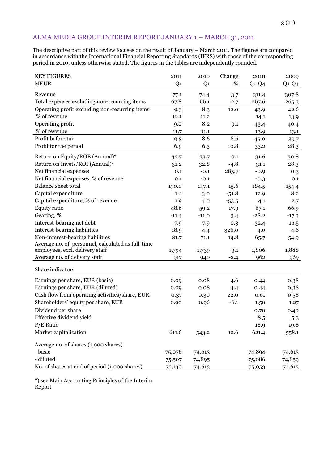# ALMA MEDIA GROUP INTERIM REPORT JANUARY 1 – MARCH 31, 2011

The descriptive part of this review focuses on the result of January – March 2011. The figures are compared in accordance with the International Financial Reporting Standards (IFRS) with those of the corresponding period in 2010, unless otherwise stated. The figures in the tables are independently rounded.

| <b>KEY FIGURES</b>                                | 2011           | 2010           | Change  | 2010    | 2009         |
|---------------------------------------------------|----------------|----------------|---------|---------|--------------|
| <b>MEUR</b>                                       | Q <sub>1</sub> | Q <sub>1</sub> | %       | $Q1-Q4$ | $Q$ 1- $Q$ 4 |
| Revenue                                           | 77.1           | 74.4           | 3.7     | 311.4   | 307.8        |
| Total expenses excluding non-recurring items      | 67.8           | 66.1           | 2.7     | 267.6   | 265.3        |
| Operating profit excluding non-recurring items    | 9.3            | 8.3            | 12.0    | 43.9    | 42.6         |
| % of revenue                                      | 12.1           | 11.2           |         | 14.1    | 13.9         |
| Operating profit                                  | 9.0            | 8.2            | 9.1     | 43.4    | 40.4         |
| % of revenue                                      | 11.7           | 11.1           |         | 13.9    | 13.1         |
| Profit before tax                                 | 9.3            | 8.6            | 8.6     | 45.0    | 39.7         |
| Profit for the period                             | 6.9            | 6.3            | 10.8    |         | 28.3         |
|                                                   |                |                |         | 33.2    |              |
| Return on Equity/ROE (Annual)*                    | 33.7           | 33.7           | 0.1     | 31.6    | 30.8         |
| Return on Invets/ROI (Annual)*                    | 31.2           | 32.8           | $-4.8$  | 31.1    | 28.3         |
| Net financial expenses                            | 0.1            | $-0.1$         | 285.7   | $-0.9$  | 0.3          |
| Net financial expenses, % of revenue              | 0.1            | $-0.1$         |         | $-0.3$  | 0.1          |
| <b>Balance sheet total</b>                        | 170.0          | 147.1          | 15.6    | 184.5   | 154.4        |
| Capital expenditure                               | 1.4            | 3.0            | $-51.8$ | 12.9    | 8.2          |
| Capital expenditure, % of revenue                 | 1.9            | 4.0            | $-53.5$ | 4.1     | 2.7          |
| Equity ratio                                      | 48.6           | 59.2           | $-17.9$ | 67.1    | 66.9         |
| Gearing, %                                        | $-11.4$        | $-11.0$        | 3.4     | $-28.2$ | $-17.3$      |
| Interest-bearing net debt                         | $-7.9$         | $-7.9$         | 0.3     | $-32.4$ | $-16.5$      |
| Interest-bearing liabilities                      | 18.9           | 4.4            | 326.0   | 4.0     | 4.6          |
| Non-interest-bearing liabilities                  | 81.7           | 71.1           | 14.8    | 65.7    | 54.9         |
| Average no. of personnel, calculated as full-time |                |                |         |         |              |
| employees, excl. delivery staff                   | 1,794          | 1,739          | 3.1     | 1,806   | 1,888        |
| Average no. of delivery staff                     | 917            | 940            | $-2.4$  | 962     | 969          |
| Share indicators                                  |                |                |         |         |              |
| Earnings per share, EUR (basic)                   | 0.09           | 0.08           | 4.6     | 0.44    | 0.38         |
| Earnings per share, EUR (diluted)                 | 0.09           | 0.08           | 4.4     | 0.44    | 0.38         |
| Cash flow from operating activities/share, EUR    | 0.37           | 0.30           | 22.0    | 0.61    | 0.58         |
| Shareholders' equity per share, EUR               | 0.90           | 0.96           | $-6.1$  | 1.50    | 1.27         |
| Dividend per share                                |                |                |         | 0.70    | 0.40         |
| Effective dividend yield                          |                |                |         | 8.5     | 5.3          |
| $P/E$ Ratio                                       |                |                |         | 18.9    | 19.8         |
| Market capitalization                             | 611.6          |                | 12.6    | 621.4   | 558.1        |
|                                                   |                | 543.2          |         |         |              |
| Average no. of shares (1,000 shares)              |                |                |         |         |              |
| - basic                                           | 75,076         | 74,613         |         | 74,894  | 74,613       |
| - diluted                                         | 75,507         | 74,895         |         | 75,086  | 74,859       |
| No. of shares at end of period (1,000 shares)     | 75,130         | 74,613         |         | 75,053  | 74,613       |

\*) see Main Accounting Principles of the Interim Report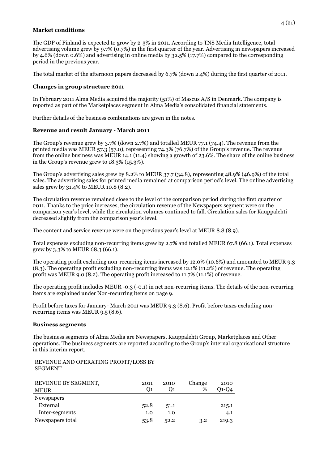# **Market conditions**

The GDP of Finland is expected to grow by 2-3% in 2011. According to TNS Media Intelligence, total advertising volume grew by 9.7% (0.7%) in the first quarter of the year. Advertising in newspapers increased by 4.6% (down 0.6%) and advertising in online media by 32.5% (17.7%) compared to the corresponding period in the previous year.

The total market of the afternoon papers decreased by 6.7% (down 2.4%) during the first quarter of 2011.

# **Changes in group structure 2011**

In February 2011 Alma Media acquired the majority (51%) of Mascus A/S in Denmark. The company is reported as part of the Marketplaces segment in Alma Media's consolidated financial statements.

Further details of the business combinations are given in the notes.

# **Revenue and result January - March 2011**

The Group's revenue grew by 3.7% (down 2.7%) and totalled MEUR 77.1 (74.4). The revenue from the printed media was MEUR 57.3 (57.0), representing 74.3% (76.7%) of the Group's revenue. The revenue from the online business was MEUR 14.1 (11.4) showing a growth of 23.6%. The share of the online business in the Group's revenue grew to 18.3% (15.3%).

The Group's advertising sales grew by 8.2% to MEUR 37.7 (34.8), representing 48.9% (46.9%) of the total sales. The advertising sales for printed media remained at comparison period's level. The online advertising sales grew by 31.4% to MEUR 10.8 (8.2).

The circulation revenue remained close to the level of the comparison period during the first quarter of 2011. Thanks to the price increases, the circulation revenue of the Newspapers segment were on the comparison year's level, while the circulation volumes continued to fall. Circulation sales for Kauppalehti decreased slightly from the comparison year's level.

The content and service revenue were on the previous year's level at MEUR 8.8 (8.9).

Total expenses excluding non-recurring items grew by 2.7% and totalled MEUR 67.8 (66.1). Total expenses grew by 3.3% to MEUR 68.3 (66.1).

The operating profit excluding non-recurring items increased by 12.0% (10.6%) and amounted to MEUR 9.3 (8.3). The operating profit excluding non-recurring items was 12.1% (11.2%) of revenue. The operating profit was MEUR 9.0 (8.2). The operating profit increased to 11.7% (11.1%) of revenue.

The operating profit includes MEUR -0.3 (-0.1) in net non-recurring items. The details of the non-recurring items are explained under Non-recurring items on page 9.

Profit before taxes for January- March 2011 was MEUR 9.3 (8.6). Profit before taxes excluding nonrecurring items was MEUR 9.5 (8.6).

#### **Business segments**

The business segments of Alma Media are Newspapers, Kauppalehti Group, Marketplaces and Other operations. The business segments are reported according to the Group's internal organisational structure in this interim report.

REVENUE AND OPERATING PROFIT/LOSS BY SEGMENT

| REVENUE BY SEGMENT, | 2011 | 2010 | Change | 2010  |
|---------------------|------|------|--------|-------|
| <b>MEUR</b>         | O1   | O1   | %      | 01-04 |
| <b>Newspapers</b>   |      |      |        |       |
| External            | 52.8 | 51.1 |        | 215.1 |
| Inter-segments      | 1.0  | 1.0  |        | 4.1   |
| Newspapers total    | 53.8 | 52.2 | 3.2    | 219.3 |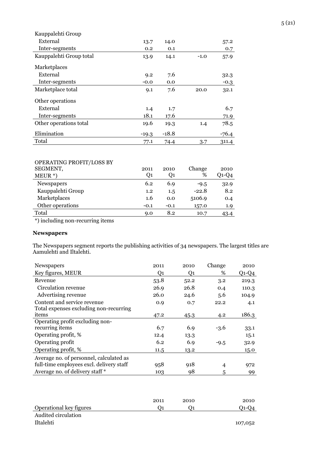| Kauppalehti Group       |         |         |        |         |
|-------------------------|---------|---------|--------|---------|
| External                | 13.7    | 14.0    |        | 57.2    |
| Inter-segments          | 0.2     | 0.1     |        | 0.7     |
| Kauppalehti Group total | 13.9    | 14.1    | $-1.0$ | 57.9    |
| Marketplaces            |         |         |        |         |
| External                | 9.2     | 7.6     |        | 32.3    |
| Inter-segments          | $-0.0$  | 0.0     |        | $-0.3$  |
| Marketplace total       | 9.1     | 7.6     | 20.0   | 32.1    |
| Other operations        |         |         |        |         |
| External                | 1.4     | 1.7     |        | 6.7     |
| Inter-segments          | 18.1    | 17.6    |        | 71.9    |
| Other operations total  | 19.6    | 19.3    | 1.4    | 78.5    |
| Elimination             | $-19.3$ | $-18.8$ |        | $-76.4$ |
| Total                   | 77.1    | 74.4    | 3.7    | 311.4   |

# OPERATING PROFIT/LOSS BY

| 2011   | 2010   | Change  | 2010  |
|--------|--------|---------|-------|
| Q1     | Q1     | %       | Q1-Q4 |
| 6.2    | 6.9    | $-9.5$  | 32.9  |
| 1.2    | 1.5    | $-22.8$ | 8.2   |
| 1.6    | 0.0    | 5106.9  | 0.4   |
| $-0.1$ | $-0.1$ | 157.0   | 1.9   |
| 9.0    | 8.2    | 10.7    | 43.4  |
|        |        |         |       |

\*) including non-recurring items

# **Newspapers**

The Newspapers segment reports the publishing activities of 34 newspapers. The largest titles are Aamulehti and Iltalehti.

| Newspapers                               | 2011 | 2010 | Change         | 2010    |
|------------------------------------------|------|------|----------------|---------|
| Key figures, MEUR                        | Q1   | Q1   | %              | $Q1-Q4$ |
| Revenue                                  | 53.8 | 52.2 | 3.2            | 219.3   |
| Circulation revenue                      | 26.9 | 26.8 | 0.4            | 110.3   |
| Advertising revenue                      | 26.0 | 24.6 | 5.6            | 104.9   |
| Content and service revenue              | 0.9  | 0.7  | 22.2           | 4.1     |
| Total expenses excluding non-recurring   |      |      |                |         |
| items                                    | 47.2 | 45.3 | 4.2            | 186.3   |
| Operating profit excluding non-          |      |      |                |         |
| recurring items                          | 6.7  | 6.9  | $-3.6$         | 33.1    |
| Operating profit, %                      | 12.4 | 13.3 |                | 15.1    |
| Operating profit                         | 6.2  | 6.9  | $-9.5$         | 32.9    |
| Operating profit, %                      | 11.5 | 13.2 |                | 15.0    |
| Average no. of personnel, calculated as  |      |      |                |         |
| full-time employees excl. delivery staff | 958  | 918  | $\overline{4}$ | 972     |
| Average no. of delivery staff *          | 103  | 98   | 5              | 99      |

|                         | 2011 | 2010 | 2010    |
|-------------------------|------|------|---------|
| Operational key figures |      |      | 01-04   |
| Audited circulation     |      |      |         |
| Iltalehti               |      |      | 107,052 |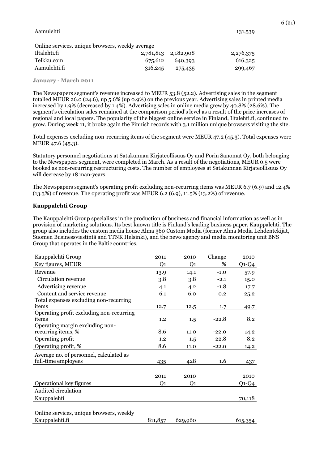#### Aamulehti 131,539

Online services, unique browsers, weekly average

| Iltalehti.fi   |  |  |         | 2,781,813 2,182,908 | 2,276,375 |
|----------------|--|--|---------|---------------------|-----------|
| Telkku.com     |  |  | 675,612 | 640,393             | 616,325   |
| - Aamulehti.fi |  |  | 316,245 | 275,435             | 299,467   |

#### **January - March 2011**

The Newspapers segment's revenue increased to MEUR 53.8 (52.2). Advertising sales in the segment totalled MEUR 26.0 (24.6), up 5.6% (up 0.9%) on the previous year. Advertising sales in printed media increased by 1.9% (decreased by 1.4%). Advertising sales in online media grew by 40.8% (28.6%). The segment's circulation sales remained at the comparison period's level as a result of the price increases of regional and local papers. The popularity of the biggest online service in Finland, Iltalehti.fi, continued to grow. During week 11, it broke again the Finnish records with 3.1 million unique browsers visiting the site.

Total expenses excluding non-recurring items of the segment were MEUR 47.2 (45.3). Total expenses were MEUR 47.6 (45.3).

Statutory personnel negotiations at Satakunnan Kirjateollisuus Oy and Porin Sanomat Oy, both belonging to the Newspapers segment, were completed in March. As a result of the negotiations, MEUR 0.5 were booked as non-recurring restructuring costs. The number of employees at Satakunnan Kirjateollisuus Oy will decrease by 18 man-years.

The Newspapers segment's operating profit excluding non-recurring items was MEUR 6.7 (6.9) and 12.4% (13.3%) of revenue. The operating profit was MEUR 6.2 (6.9), 11.5% (13.2%) of revenue.

#### **Kauppalehti Group**

The Kauppalehti Group specialises in the production of business and financial information as well as in provision of marketing solutions. Its best known title is Finland's leading business paper, Kauppalehti. The group also includes the custom media house Alma 360 Custom Media (former Alma Media Lehdentekijät, Suomen Businessviestintä and TTNK Helsinki), and the news agency and media monitoring unit BNS Group that operates in the Baltic countries.

| Kauppalehti Group                        | 2011           | 2010    | Change  | 2010      |
|------------------------------------------|----------------|---------|---------|-----------|
| Key figures, MEUR                        | Q1             | Q1      | %       | $Q1-Q4$   |
| Revenue                                  | 13.9           | 14.1    | $-1.0$  | 57.9      |
| Circulation revenue                      | 3.8            | 3.8     | $-2.1$  | 15.0      |
| Advertising revenue                      | 4.1            | 4.2     | $-1.8$  | 17.7      |
| Content and service revenue              | 6.1            | 6.0     | 0.2     | 25.2      |
| Total expenses excluding non-recurring   |                |         |         |           |
| items                                    | 12.7           | 12.5    | 1.7     | 49.7      |
| Operating profit excluding non-recurring |                |         |         |           |
| items                                    | 1.2            | 1.5     | $-22.8$ | 8.2       |
| Operating margin excluding non-          |                |         |         |           |
| recurring items, %                       | 8.6            | 11.0    | $-22.0$ | 14.2      |
| Operating profit                         | 1.2            | 1.5     | $-22.8$ | 8.2       |
| Operating profit, %                      | 8.6            | 11.0    | $-22.0$ | 14.2      |
| Average no. of personnel, calculated as  |                |         |         |           |
| full-time employees                      | 435            | 428     | 1.6     | 437       |
|                                          |                |         |         |           |
|                                          | 2011           | 2010    |         | 2010      |
| Operational key figures                  | Q <sub>1</sub> | Q1      |         | $Q1 - Q4$ |
| Audited circulation                      |                |         |         |           |
| Kauppalehti                              |                |         |         | 70,118    |
|                                          |                |         |         |           |
| Online services, unique browsers, weekly |                |         |         |           |
| Kauppalehti.fi                           | 811,857        | 629,960 |         | 615,354   |
|                                          |                |         |         |           |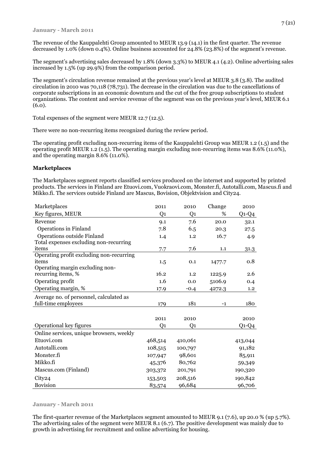The revenue of the Kauppalehti Group amounted to MEUR 13.9 (14.1) in the first quarter. The revenue decreased by 1.0% (down 0.4%). Online business accounted for 24.8% (23.8%) of the segment's revenue.

The segment's advertising sales decreased by 1.8% (down 3.3%) to MEUR 4.1 (4.2). Online advertising sales increased by 1.5% (up 29.9%) from the comparison period.

The segment's circulation revenue remained at the previous year's level at MEUR 3.8 (3.8). The audited circulation in 2010 was 70,118 (78,731). The decrease in the circulation was due to the cancellations of corporate subscriptions in an economic downturn and the cut of the free group subscriptions to student organizations. The content and service revenue of the segment was on the previous year's level, MEUR 6.1 (6.0).

Total expenses of the segment were MEUR 12.7 (12.5).

There were no non-recurring items recognized during the review period.

The operating profit excluding non-recurring items of the Kauppalehti Group was MEUR 1.2 (1.5) and the operating profit MEUR 1.2 (1.5). The operating margin excluding non-recurring items was 8.6% (11.0%), and the operating margin 8.6% (11.0%).

#### **Marketplaces**

The Marketplaces segment reports classified services produced on the internet and supported by printed products. The services in Finland are Etuovi.com, Vuokraovi.com, Monster.fi, Autotalli.com, Mascus.fi and Mikko.fi. The services outside Finland are Mascus, Bovision, Objektvision and City24.

| Marketplaces                             | 2011           | 2010           | Change | 2010    |
|------------------------------------------|----------------|----------------|--------|---------|
| Key figures, MEUR                        | Q <sub>1</sub> | Q <sub>1</sub> | %      | $Q1-Q4$ |
| Revenue                                  | 9.1            | 7.6            | 20.0   | 32.1    |
| <b>Operations in Finland</b>             | 7.8            | 6.5            | 20.3   | 27.5    |
| Operations outside Finland               | 1.4            | 1.2            | 16.7   | 4.9     |
| Total expenses excluding non-recurring   |                |                |        |         |
| items                                    | 7.7            | 7.6            | 1.1    | 31.3    |
| Operating profit excluding non-recurring |                |                |        |         |
| items                                    | 1.5            | 0.1            | 1477.7 | 0.8     |
| Operating margin excluding non-          |                |                |        |         |
| recurring items, %                       | 16.2           | 1.2            | 1225.9 | 2.6     |
| Operating profit                         | 1.6            | 0.0            | 5106.9 | 0.4     |
| Operating margin, %                      | 17.9           | $-0.4$         | 4272.3 | 1.2     |
| Average no. of personnel, calculated as  |                |                |        |         |
| full-time employees                      | 179            | 181            | $-1$   | 180     |
|                                          |                |                |        |         |
|                                          | 2011           | 2010           |        | 2010    |
| Operational key figures                  | Q1             | Q1             |        | $Q1-Q4$ |
| Online services, unique browsers, weekly |                |                |        |         |
| Etuovi.com                               | 468,514        | 410,061        |        | 413,044 |
| Autotalli.com                            | 108,515        | 100,797        |        | 91,182  |
| Monster.fi                               | 107,947        | 98,601         |        | 85,911  |
| Mikko.fi                                 | 45,376         | 80,762         |        | 59,349  |
| Mascus.com (Finland)                     | 303,372        | 201,791        |        | 190,320 |
| City24                                   | 153,503        | 208,516        |        | 190,842 |
| <b>Bovision</b>                          | 83,574         | 96,684         |        | 96,706  |

#### **January - March 2011**

The first-quarter revenue of the Marketplaces segment amounted to MEUR 9.1 (7.6), up 20.0 % (up 5.7%). The advertising sales of the segment were MEUR 8.1 (6.7). The positive development was mainly due to growth in advertising for recruitment and online advertising for housing.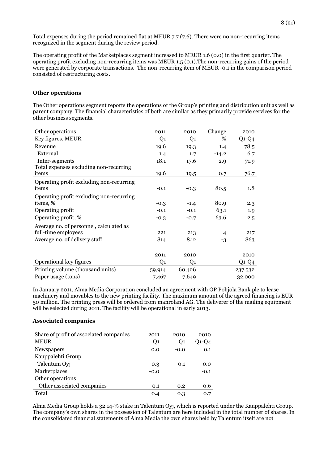Total expenses during the period remained flat at MEUR 7.7 (7.6). There were no non-recurring items recognized in the segment during the review period.

The operating profit of the Marketplaces segment increased to MEUR 1.6 (0.0) in the first quarter. The operating profit excluding non-recurring items was MEUR 1.5 (0.1).The non-recurring gains of the period were generated by corporate transactions. The non-recurring item of MEUR -0.1 in the comparison period consisted of restructuring costs.

#### **Other operations**

The Other operations segment reports the operations of the Group's printing and distribution unit as well as parent company. The financial characteristics of both are similar as they primarily provide services for the other business segments.

| Other operations                         | 2011           | 2010   | Change         | 2010    |
|------------------------------------------|----------------|--------|----------------|---------|
| Key figures, MEUR                        | Q1             | Q1     | %              | $Q1-Q4$ |
| Revenue                                  | 19.6           | 19.3   | 1.4            | 78.5    |
| External                                 | 1.4            | 1.7    | $-14.2$        | 6.7     |
| Inter-segments                           | 18.1           | 17.6   | 2.9            | 71.9    |
| Total expenses excluding non-recurring   |                |        |                |         |
| items                                    | 19.6           | 19.5   | 0.7            | 76.7    |
| Operating profit excluding non-recurring |                |        |                |         |
| items                                    | $-0.1$         | $-0.3$ | 80.5           | 1.8     |
| Operating profit excluding non-recurring |                |        |                |         |
| items, %                                 | $-0.3$         | $-1.4$ | 80.9           | 2.3     |
| Operating profit                         | $-0.1$         | $-0.1$ | 63.1           | 1.9     |
| Operating profit, %                      | $-0.3$         | $-0.7$ | 63.6           | 2.5     |
| Average no. of personnel, calculated as  |                |        |                |         |
| full-time employees                      | 221            | 213    | $\overline{4}$ | 217     |
| Average no. of delivery staff            | 814            | 842    | $-3$           | 863     |
|                                          |                |        |                |         |
|                                          | 2011           | 2010   |                | 2010    |
| Operational key figures                  | Q <sub>1</sub> | Q1     |                | $Q1-Q4$ |
| Printing volume (thousand units)         | 59,914         | 60,426 |                | 237,532 |
| Paper usage (tons)                       | 7,467          | 7,649  |                | 32,000  |

In January 2011, Alma Media Corporation concluded an agreement with OP Pohjola Bank plc to lease machinery and movables to the new printing facility. The maximum amount of the agreed financing is EUR 50 million. The printing press will be ordered from manroland AG. The deliverer of the mailing equipment will be selected during 2011. The facility will be operational in early 2013.

#### **Associated companies**

| Share of profit of associated companies | 2011           | 2010           | 2010   |
|-----------------------------------------|----------------|----------------|--------|
| <b>MEUR</b>                             | Q <sub>1</sub> | O <sub>1</sub> | Q1-Q4  |
| Newspapers                              | 0.0            | $-0.0$         | 0.1    |
| Kauppalehti Group                       |                |                |        |
| Talentum Oyj                            | 0.3            | 0.1            | 0.0    |
| Marketplaces                            | $-0.0$         |                | $-0.1$ |
| Other operations                        |                |                |        |
| Other associated companies              | 0.1            | 0.2            | 0.6    |
| Total                                   | 0.4            | 0.3            | 0.7    |

Alma Media Group holds a 32.14-% stake in Talentum Oyj, which is reported under the Kauppalehti Group. The company's own shares in the possession of Talentum are here included in the total number of shares. In the consolidated financial statements of Alma Media the own shares held by Talentum itself are not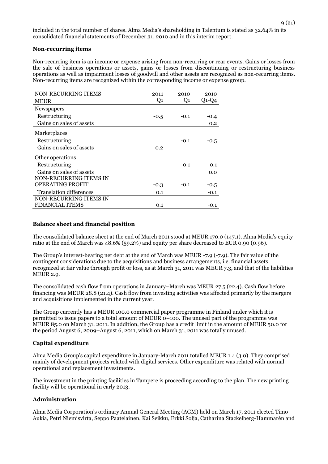#### **Non-recurring items**

Non-recurring item is an income or expense arising from non-recurring or rear events. Gains or losses from the sale of business operations or assets, gains or losses from discontinuing or restructuring business operations as well as impairment losses of goodwill and other assets are recognized as non-recurring items. Non-recurring items are recognized within the corresponding income or expense group.

| NON-RECURRING ITEMS            | 2011   | 2010   | 2010    |
|--------------------------------|--------|--------|---------|
| <b>MEUR</b>                    | $Q_1$  | Q1     | $Q1-Q4$ |
| Newspapers                     |        |        |         |
| Restructuring                  | $-0.5$ | $-0.1$ | $-0.4$  |
| Gains on sales of assets       |        |        | 0.2     |
| Marketplaces                   |        |        |         |
| Restructuring                  |        | $-0.1$ | -0.5    |
| Gains on sales of assets       | 0.2    |        |         |
| Other operations               |        |        |         |
| Restructuring                  |        | 0.1    | 0.1     |
| Gains on sales of assets       |        |        | 0.0     |
| NON-RECURRING ITEMS IN         |        |        |         |
| <b>OPERATING PROFIT</b>        | $-0.3$ | $-0.1$ | $-0.5$  |
| <b>Translation differences</b> | 0.1    |        | $-0.1$  |
| <b>NON-RECURRING ITEMS IN</b>  |        |        |         |
| <b>FINANCIAL ITEMS</b>         | 0.1    |        | -0.1    |

#### **Balance sheet and financial position**

The consolidated balance sheet at the end of March 2011 stood at MEUR 170.0 (147.1). Alma Media's equity ratio at the end of March was 48.6% (59.2%) and equity per share decreased to EUR 0.90 (0.96).

The Group's interest-bearing net debt at the end of March was MEUR -7.9 (-7.9). The fair value of the contingent considerations due to the acquisitions and business arrangements, i.e. financial assets recognized at fair value through profit or loss, as at March 31, 2011 was MEUR 7.3, and that of the liabilities MEUR 2.9.

The consolidated cash flow from operations in January–March was MEUR 27.5 (22.4). Cash flow before financing was MEUR 28.8 (21.4). Cash flow from investing activities was affected primarily by the mergers and acquisitions implemented in the current year.

The Group currently has a MEUR 100.0 commercial paper programme in Finland under which it is permitted to issue papers to a total amount of MEUR  $\overline{O}$ –100. The unused part of the programme was MEUR 85.0 on March 31, 2011. In addition, the Group has a credit limit in the amount of MEUR 50.0 for the period August 6, 2009–August 6, 2011, which on March 31, 2011 was totally unused.

#### **Capital expenditure**

Alma Media Group's capital expenditure in January-March 2011 totalled MEUR 1.4 (3.0). They comprised mainly of development projects related with digital services. Other expenditure was related with normal operational and replacement investments.

The investment in the printing facilities in Tampere is proceeding according to the plan. The new printing facility will be operational in early 2013.

#### **Administration**

Alma Media Corporation's ordinary Annual General Meeting (AGM) held on March 17, 2011 elected Timo Aukia, Petri Niemisvirta, Seppo Paatelainen, Kai Seikku, Erkki Solja, Catharina Stackelberg-Hammarén and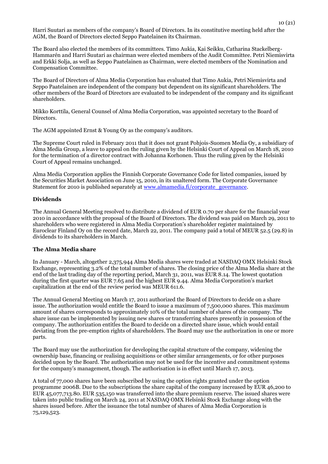Harri Suutari as members of the company's Board of Directors. In its constitutive meeting held after the AGM, the Board of Directors elected Seppo Paatelainen its Chairman.

The Board also elected the members of its committees. Timo Aukia, Kai Seikku, Catharina Stackelberg-Hammarén and Harri Suutari as chairman were elected members of the Audit Committee. Petri Niemisvirta and Erkki Solja, as well as Seppo Paatelainen as Chairman, were elected members of the Nomination and Compensation Committee.

The Board of Directors of Alma Media Corporation has evaluated that Timo Aukia, Petri Niemisvirta and Seppo Paatelainen are independent of the company but dependent on its significant shareholders. The other members of the Board of Directors are evaluated to be independent of the company and its significant shareholders.

Mikko Korttila, General Counsel of Alma Media Corporation, was appointed secretary to the Board of Directors.

The AGM appointed Ernst & Young Oy as the company's auditors.

The Supreme Court ruled in February 2011 that it does not grant Pohjois-Suomen Media Oy, a subsidiary of Alma Media Group, a leave to appeal on the ruling given by the Helsinki Court of Appeal on March 18, 2010 for the termination of a director contract with Johanna Korhonen. Thus the ruling given by the Helsinki Court of Appeal remains unchanged.

Alma Media Corporation applies the Finnish Corporate Governance Code for listed companies, issued by the Securities Market Association on June 15, 2010, in its unaltered form. The Corporate Governance Statement for 2010 is published separately at [www.almamedia.fi/corporate\\_governance.](http://www.almamedia.fi/corporate_governance)

## **Dividends**

The Annual General Meeting resolved to distribute a dividend of EUR 0.70 per share for the financial year 2010 in accordance with the proposal of the Board of Directors. The dividend was paid on March 29, 2011 to shareholders who were registered in Alma Media Corporation's shareholder register maintained by Euroclear Finland Oy on the record date, March 22, 2011. The company paid a total of MEUR 52.5 (29.8) in dividends to its shareholders in March.

# **The Alma Media share**

In January - March, altogether 2,375,944 Alma Media shares were traded at NASDAQ OMX Helsinki Stock Exchange, representing 3.2% of the total number of shares. The closing price of the Alma Media share at the end of the last trading day of the reporting period, March 31, 2011, was EUR 8.14. The lowest quotation during the first quarter was EUR 7.65 and the highest EUR 9.44. Alma Media Corporation's market capitalization at the end of the review period was MEUR 611.6.

The Annual General Meeting on March 17, 2011 authorized the Board of Directors to decide on a share issue. The authorization would entitle the Board to issue a maximum of 7,500,000 shares. This maximum amount of shares corresponds to approximately 10% of the total number of shares of the company. The share issue can be implemented by issuing new shares or transferring shares presently in possession of the company. The authorization entitles the Board to decide on a directed share issue, which would entail deviating from the pre-emption rights of shareholders. The Board may use the authorization in one or more parts.

The Board may use the authorization for developing the capital structure of the company, widening the ownership base, financing or realising acquisitions or other similar arrangements, or for other purposes decided upon by the Board. The authorization may not be used for the incentive and commitment systems for the company's management, though. The authorisation is in effect until March 17, 2013.

A total of 77,000 shares have been subscribed by using the option rights granted under the option programme 2006B. Due to the subscriptions the share capital of the company increased by EUR 46,200 to EUR 45,077,713.80. EUR 535,150 was transferred into the share premium reserve. The issued shares were taken into public trading on March 24, 2011 at NASDAQ OMX Helsinki Stock Exchange along with the shares issued before. After the issuance the total number of shares of Alma Media Corporation is 75,129,523.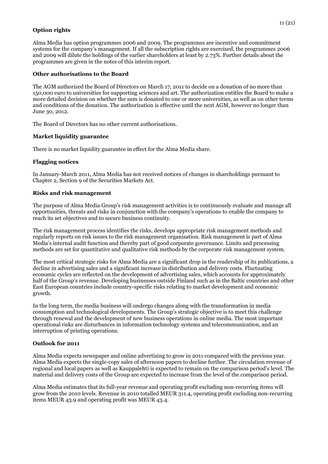# **Option rights**

Alma Media has option programmes 2006 and 2009. The programmes are incentive and commitment systems for the company's management. If all the subscription rights are exercised, the programmes 2006 and 2009 will dilute the holdings of the earlier shareholders at least by 2.73%. Further details about the programmes are given in the notes of this interim report.

# **Other authorisations to the Board**

The AGM authorized the Board of Directors on March 17, 2011 to decide on a donation of no more than 150,000 euro to universities for supporting sciences and art. The authorization entitles the Board to make a more detailed decision on whether the sum is donated to one or more universities, as well as on other terms and conditions of the donation. The authorization is effective until the next AGM, however no longer than June 30, 2012.

The Board of Directors has no other current authorisations.

# **Market liquidity guarantee**

There is no market liquidity guarantee in effect for the Alma Media share.

# **Flagging notices**

In January-March 2011, Alma Media has not received notices of changes in shareholdings pursuant to Chapter 2, Section 9 of the Securities Markets Act.

# **Risks and risk management**

The purpose of Alma Media Group's risk management activities is to continuously evaluate and manage all opportunities, threats and risks in conjunction with the company's operations to enable the company to reach its set objectives and to secure business continuity.

The risk management process identifies the risks, develops appropriate risk management methods and regularly reports on risk issues to the risk management organisation. Risk management is part of Alma Media's internal audit function and thereby part of good corporate governance. Limits and processing methods are set for quantitative and qualitative risk methods by the corporate risk management system.

The most critical strategic risks for Alma Media are a significant drop in the readership of its publications, a decline in advertising sales and a significant increase in distribution and delivery costs. Fluctuating economic cycles are reflected on the development of advertising sales, which accounts for approximately half of the Group's revenue. Developing businesses outside Finland such as in the Baltic countries and other East European countries include country-specific risks relating to market development and economic growth.

In the long term, the media business will undergo changes along with the transformation in media consumption and technological developments. The Group's strategic objective is to meet this challenge through renewal and the development of new business operations in online media. The most important operational risks are disturbances in information technology systems and telecommunication, and an interruption of printing operations.

# **Outlook for 2011**

Alma Media expects newspaper and online advertising to grow in 2011 compared with the previous year. Alma Media expects the single-copy sales of afternoon papers to decline further. The circulation revenue of regional and local papers as well as Kauppalehti is expected to remain on the comparison period's level. The material and delivery costs of the Group are expected to increase from the level of the comparison period.

Alma Media estimates that its full-year revenue and operating profit excluding non-recurring items will grow from the 2010 levels. Revenue in 2010 totalled MEUR 311.4, operating profit excluding non-recurring items MEUR 43.9 and operating profit was MEUR 43.4.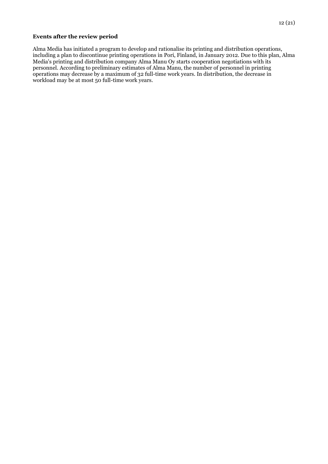#### **Events after the review period**

Alma Media has initiated a program to develop and rationalise its printing and distribution operations, including a plan to discontinue printing operations in Pori, Finland, in January 2012. Due to this plan, Alma Media's printing and distribution company Alma Manu Oy starts cooperation negotiations with its personnel. According to preliminary estimates of Alma Manu, the number of personnel in printing operations may decrease by a maximum of 32 full-time work years. In distribution, the decrease in workload may be at most 50 full-time work years.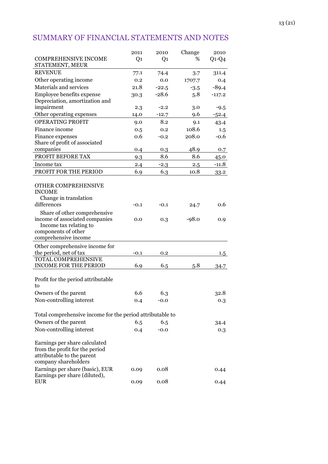# SUMMARY OF FINANCIAL STATEMENTS AND NOTES

|                                                                                                                       | 2011           | 2010    | Change  | 2010     |
|-----------------------------------------------------------------------------------------------------------------------|----------------|---------|---------|----------|
| <b>COMPREHENSIVE INCOME</b><br>STATEMENT, MEUR                                                                        | Q <sub>1</sub> | Q1      | %       | $Q1-Q4$  |
| <b>REVENUE</b>                                                                                                        | 77.1           | 74.4    | 3.7     | 311.4    |
| Other operating income                                                                                                | 0.2            | 0.0     | 1707.7  | 0.4      |
| Materials and services                                                                                                | 21.8           | $-22.5$ | $-3.5$  | $-89.4$  |
| Employee benefits expense<br>Depreciation, amortization and                                                           | 30.3           | $-28.6$ | 5.8     | $-117.2$ |
| impairment                                                                                                            | 2.3            | $-2.2$  | 3.0     | $-9.5$   |
| Other operating expenses                                                                                              | 14.0           | $-12.7$ | 9.6     | $-52.4$  |
| <b>OPERATING PROFIT</b>                                                                                               | 9.0            | 8.2     | 9.1     | 43.4     |
| Finance income                                                                                                        | 0.5            | 0.2     | 108.6   | 1.5      |
| Finance expenses                                                                                                      | 0.6            | $-0.2$  | 208.0   | $-0.6$   |
| Share of profit of associated                                                                                         |                |         |         |          |
| companies                                                                                                             | 0.4            | 0.3     | 48.9    | 0.7      |
| PROFIT BEFORE TAX                                                                                                     | 9.3            | 8.6     | 8.6     | 45.0     |
| Income tax                                                                                                            | 2.4            | $-2.3$  | 2.5     | $-11.8$  |
| PROFIT FOR THE PERIOD                                                                                                 | 6.9            | 6.3     | 10.8    | 33.2     |
| OTHER COMPREHENSIVE<br><b>INCOME</b><br>Change in translation<br>differences                                          | $-0.1$         | $-0.1$  | 24.7    | 0.6      |
|                                                                                                                       |                |         |         |          |
| Share of other comprehensive<br>income of associated companies<br>Income tax relating to<br>components of other       | 0.0            | 0.3     | $-98.0$ | 0.9      |
| comprehensive income                                                                                                  |                |         |         |          |
| Other comprehensive income for                                                                                        |                |         |         |          |
| the period, net of tax<br><b>TOTAL COMPREHENSIVE</b>                                                                  | $-0.1$         | 0.2     |         | 1.5      |
| <b>INCOME FOR THE PERIOD</b>                                                                                          | 6.9            | 6.5     | 5.8     | 34.7     |
| Profit for the period attributable<br>to                                                                              |                |         |         |          |
| Owners of the parent                                                                                                  | 6.6            | 6.3     |         | 32.8     |
| Non-controlling interest                                                                                              | 0.4            | $-0.0$  |         | 0.3      |
| Total comprehensive income for the period attributable to                                                             |                |         |         |          |
| Owners of the parent                                                                                                  | 6.5            | 6.5     |         | 34.4     |
| Non-controlling interest                                                                                              | 0.4            | $-0.0$  |         | 0.3      |
| Earnings per share calculated<br>from the profit for the period<br>attributable to the parent<br>company shareholders |                |         |         |          |
| Earnings per share (basic), EUR<br>Earnings per share (diluted),                                                      | 0.09           | 0.08    |         | 0.44     |
| <b>EUR</b>                                                                                                            | 0.09           | 0.08    |         | 0.44     |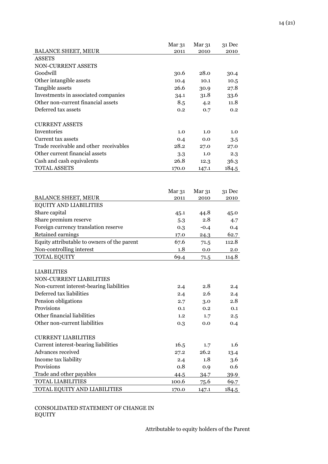|                                        | Mar 31 | Mar 31 | 31 Dec |
|----------------------------------------|--------|--------|--------|
| <b>BALANCE SHEET, MEUR</b>             | 2011   | 2010   | 2010   |
| <b>ASSETS</b>                          |        |        |        |
| NON-CURRENT ASSETS                     |        |        |        |
| Goodwill                               | 30.6   | 28.0   | 30.4   |
| Other intangible assets                | 10.4   | 10.1   | 10.5   |
| Tangible assets                        | 26.6   | 30.9   | 27.8   |
| Investments in associated companies    | 34.1   | 31.8   | 33.6   |
| Other non-current financial assets     | 8.5    | 4.2    | 11.8   |
| Deferred tax assets                    | 0.2    | 0.7    | 0.2    |
|                                        |        |        |        |
| <b>CURRENT ASSETS</b>                  |        |        |        |
| Inventories                            | 1.0    | 1.0    | 1.0    |
| Current tax assets                     | 0.4    | 0.0    | 3.5    |
| Trade receivable and other receivables | 28.2   | 27.0   | 27.0   |
| Other current financial assets         | 3.3    | 1.0    | 2.3    |
| Cash and cash equivalents              | 26.8   | 12.3   | 36.3   |
| <b>TOTAL ASSETS</b>                    | 170.0  | 147.1  | 184.5  |
|                                        |        |        |        |
|                                        |        |        |        |

|                                             | Mar 31 | Mar <sub>31</sub> | 31 Dec |
|---------------------------------------------|--------|-------------------|--------|
| <b>BALANCE SHEET, MEUR</b>                  | 2011   | 2010              | 2010   |
| <b>EQUITY AND LIABILITIES</b>               |        |                   |        |
| Share capital                               | 45.1   | 44.8              | 45.0   |
| Share premium reserve                       | 5.3    | 2.8               | 4.7    |
| Foreign currency translation reserve        | 0.3    | $-0.4$            | 0.4    |
| Retained earnings                           | 17.0   | 24.3              | 62.7   |
| Equity attributable to owners of the parent | 67.6   | 71.5              | 112.8  |
| Non-controlling interest                    | 1.8    | 0.0               | 2.0    |
| <b>TOTAL EQUITY</b>                         | 69.4   | 71.5              | 114.8  |
|                                             |        |                   |        |
| <b>LIABILITIES</b>                          |        |                   |        |
| <b>NON-CURRENT LIABILITIES</b>              |        |                   |        |
| Non-current interest-bearing liabilities    | 2.4    | 2.8               | 2.4    |
| Deferred tax liabilities                    | 2.4    | 2.6               | 2.4    |
| Pension obligations                         | 2.7    | 3.0               | 2.8    |
| Provisions                                  | 0.1    | 0.2               | 0.1    |
| Other financial liabilities                 | 1.2    | 1.7               | 2.5    |
| Other non-current liabilities               | 0.3    | 0.0               | 0.4    |
|                                             |        |                   |        |
| <b>CURRENT LIABILITIES</b>                  |        |                   |        |
| Current interest-bearing liabilities        | 16.5   | 1.7               | 1.6    |
| Advances received                           | 27.2   | 26.2              | 13.4   |
| Income tax liability                        | 2.4    | 1.8               | 3.6    |
| Provisions                                  | 0.8    | 0.9               | 0.6    |
| Trade and other payables                    | 44.5   | 34.7              | 39.9   |
| <b>TOTAL LIABILITIES</b>                    | 100.6  | 75.6              | 69.7   |

TOTAL EQUITY AND LIABILITIES 170.0 147.1 184.5

CONSOLIDATED STATEMENT OF CHANGE IN EQUITY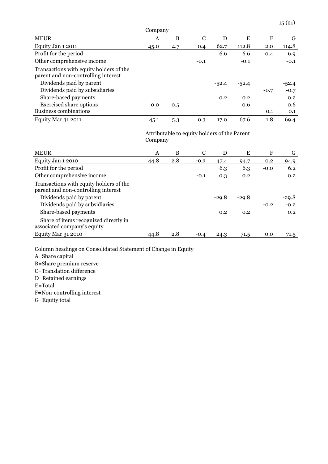| Company                                                                        |      |     |        |         |         |        |         |
|--------------------------------------------------------------------------------|------|-----|--------|---------|---------|--------|---------|
| <b>MEUR</b>                                                                    | A    | B   | C      | D       | E       | F      | G       |
| Equity Jan 1 2011                                                              | 45.0 | 4.7 | 0.4    | 62.7    | 112.8   | 2.0    | 114.8   |
| Profit for the period                                                          |      |     |        | 6.6     | 6.6     | 0.4    | 6.9     |
| Other comprehensive income                                                     |      |     | $-0.1$ |         | $-0.1$  |        | $-0.1$  |
| Transactions with equity holders of the<br>parent and non-controlling interest |      |     |        |         |         |        |         |
| Dividends paid by parent                                                       |      |     |        | $-52.4$ | $-52.4$ |        | $-52.4$ |
| Dividends paid by subsidiaries                                                 |      |     |        |         |         | $-0.7$ | $-0.7$  |
| Share-based payments                                                           |      |     |        | 0.2     | 0.2     |        | 0.2     |
| <b>Exercised share options</b>                                                 | 0.0  | 0.5 |        |         | 0.6     |        | 0.6     |
| <b>Business combinations</b>                                                   |      |     |        |         |         | 0.1    | 0.1     |
| Equity Mar 31 2011                                                             | 45.1 | 5.3 | 0.3    | 17.0    | 67.6    | 1.8    | 69.4    |

Attributable to equity holders of the Parent Company

| <b>MEUR</b>                                                                    | A    | B   | C      | D       | Е       | F      | G       |
|--------------------------------------------------------------------------------|------|-----|--------|---------|---------|--------|---------|
| Equity Jan 1 2010                                                              | 44.8 | 2.8 | $-0.3$ | 47.4    | 94.7    | 0.2    | 94.9    |
| Profit for the period                                                          |      |     |        | 6.3     | 6.3     | $-0.0$ | 6.2     |
| Other comprehensive income                                                     |      |     | $-0.1$ | 0.3     | 0.2     |        | 0.2     |
| Transactions with equity holders of the<br>parent and non-controlling interest |      |     |        |         |         |        |         |
| Dividends paid by parent                                                       |      |     |        | $-29.8$ | $-29.8$ |        | $-29.8$ |
| Dividends paid by subsidiaries                                                 |      |     |        |         |         | $-0.2$ | $-0.2$  |
| Share-based payments                                                           |      |     |        | 0.2     | 0.2     |        | 0.2     |
| Share of items recognized directly in<br>associated company's equity           |      |     |        |         |         |        |         |
| Equity Mar 31 2010                                                             | 44.8 | 2.8 | $-0.4$ | 24.3    | 71.5    | 0.0    | 71.5    |

Column headings on Consolidated Statement of Change in Equity

A=Share capital

B=Share premium reserve

C=Translation difference

D=Retained earnings

E=Total

F=Non-controlling interest

G=Equity total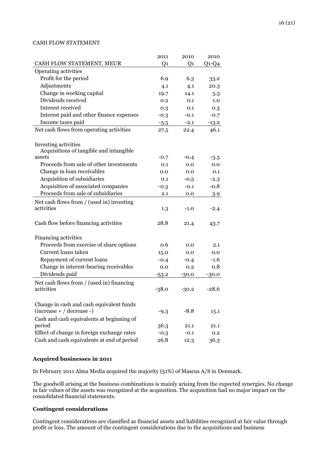# CASH FLOW STATEMENT

|                                                                         | 2011           | 2010    | 2010    |
|-------------------------------------------------------------------------|----------------|---------|---------|
| CASH FLOW STATEMENT, MEUR                                               | Q <sub>1</sub> | Q1      | $Q1-Q4$ |
| Operating activities                                                    |                |         |         |
| Profit for the period                                                   | 6.9            | 6.3     | 33.2    |
| Adjustments                                                             | 4.1            | 4.1     | 20.3    |
| Change in working capital                                               | 19.7           | 14.1    | 5.3     |
| Dividends received                                                      | 0.2            | 0.1     | 1.0     |
| Interest received                                                       | 0.3            | 0.1     | 0.3     |
| Interest paid and other finance expenses                                | $-0.3$         | $-0.1$  | $-0.7$  |
| Income taxes paid                                                       | $-3.5$         | $-2.1$  | $-13.2$ |
| Net cash flows from operating activities                                | 27.5           | 22.4    | 46.1    |
| Investing activities<br>Acquisitions of tangible and intangible         |                |         |         |
| assets                                                                  | $-0.7$         | $-0.4$  | $-3.3$  |
| Proceeds from sale of other investments                                 | 0.1            | 0.0     | 0.0     |
| Change in loan receivables                                              | 0.0            | 0.0     | 0.1     |
| Acquisition of subsidiaries                                             | 0.1            | $-0.5$  | $-2.3$  |
| Acquisition of associated companies                                     | $-0.3$         | $-0.1$  | $-0.8$  |
| Proceeds from sale of subsidiaries                                      | 2.1            | 0.0     | 3.9     |
| Net cash flows from / (used in) investing<br>activities                 | 1.3            | $-1.0$  | $-2.4$  |
| Cash flow before financing activities                                   | 28.8           | 21.4    | 43.7    |
| Financing activities                                                    |                |         |         |
| Proceeds from exercise of share options                                 | 0.6            | 0.0     | 2.1     |
| Current loans taken                                                     | 15.0           | 0.0     | 0.0     |
| Repayment of current loans                                              | $-0.4$         | $-0.4$  | $-1.6$  |
| Change in interest-bearing receivables                                  | 0.0            | 0.2     | 0.8     |
| Dividends paid                                                          | $-53.2$        | $-30.0$ | -30.0   |
| Net cash flows from / (used in) financing<br>activities                 | $-38.0$        | $-30.2$ | $-28.6$ |
| Change in cash and cash equivalent funds<br>$(increase + / decrease -)$ | $-9.3$         | $-8.8$  | 15.1    |
| Cash and cash equivalents at beginning of                               |                |         |         |
| period                                                                  | 36.3           | 21.1    | 21.1    |
| Effect of change in foreign exchange rates                              | $-0.3$         | $-0.1$  | 0.2     |
| Cash and cash equivalents at end of period                              | 26.8           | 12.3    | 36.3    |

#### **Acquired businesses in 2011**

In February 2011 Alma Media acquired the majority (51%) of Mascus A/S in Denmark.

The goodwill arising at the business combinations is mainly arising from the expected synergies. No change in fair values of the assets was recognized at the acquisition. The acquisition had no major impact on the consolidated financial statements.

# **Contingent considerations**

Contingent considerations are classified as financial assets and liabilities recognized at fair value through profit or loss. The amount of the contingent considerations due to the acquisitions and business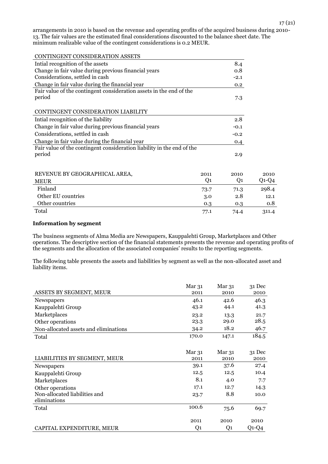arrangements in 2010 is based on the revenue and operating profits of the acquired business during 2010- 13. The fair values are the estimated final considerations discounted to the balance sheet date. The minimum realizable value of the contingent considerations is 0.2 MEUR.

| CONTINGENT CONSIDERATION ASSETS                                        |                |        |         |
|------------------------------------------------------------------------|----------------|--------|---------|
| Intial recognition of the assets                                       |                | 8.4    |         |
| Change in fair value during previous financial years                   |                | 0.8    |         |
| Considerations, settled in cash                                        |                | $-2.1$ |         |
| Change in fair value during the financial year                         |                | 0.2    |         |
| Fair value of the contingent consideration assets in the end of the    |                |        |         |
| period                                                                 |                | 7.3    |         |
| CONTINGENT CONSIDERATION LIABILITY                                     |                |        |         |
| Intial recognition of the liability                                    |                | 2.8    |         |
| Change in fair value during previous financial years                   |                | $-0.1$ |         |
| Considerations, settled in cash                                        |                | $-0.2$ |         |
| Change in fair value during the financial year                         |                | 0.4    |         |
| Fair value of the contingent consideration liability in the end of the |                |        |         |
| period                                                                 |                | 2.9    |         |
|                                                                        |                |        |         |
| REVENUE BY GEOGRAPHICAL AREA,                                          | 2011           | 2010   | 2010    |
| <b>MEUR</b>                                                            | Q <sub>1</sub> | Q1     | $Q1-Q4$ |
| Finland                                                                | 73.7           | 71.3   | 298.4   |
| Other EU countries                                                     | 3.0            | 2.8    | 12.1    |
| Other countries                                                        | 0.3            | 0.3    | 0.8     |
| Total                                                                  | 77.1           | 74.4   | 311.4   |

# **Information by segment**

The business segments of Alma Media are Newspapers, Kauppalehti Group, Marketplaces and Other operations. The descriptive section of the financial statements presents the revenue and operating profits of the segments and the allocation of the associated companies' results to the reporting segments.

The following table presents the assets and liabilities by segment as well as the non-allocated asset and liability items.

|                                       | Mar <sub>31</sub> | Mar 31         | 31 Dec  |
|---------------------------------------|-------------------|----------------|---------|
| ASSETS BY SEGMENT, MEUR               | 2011              | 2010           | 2010    |
| Newspapers                            | 46.1              | 42.6           | 46.3    |
| Kauppalehti Group                     | 43.2              | 44.1           | 41.3    |
| Marketplaces                          | 23.2              | 13.3           | 21.7    |
| Other operations                      | 23.3              | 29.0           | 28.5    |
| Non-allocated assets and eliminations | 34.2              | 18.2           | 46.7    |
| Total                                 | 170.0             | 147.1          | 184.5   |
|                                       |                   |                |         |
|                                       | Mar 31            | Mar 31         | 31 Dec  |
| LIABILITIES BY SEGMENT, MEUR          | 2011              | 2010           | 2010    |
| Newspapers                            | 39.1              | 37.6           | 27.4    |
| Kauppalehti Group                     | 12.5              | 12.5           | 10.4    |
| Marketplaces                          | 8.1               | 4.0            | 7.7     |
| Other operations                      | 17.1              | 12.7           | 14.3    |
| Non-allocated liabilities and         | 23.7              | 8.8            | 10.0    |
| eliminations                          |                   |                |         |
| Total                                 | 100.6             | 75.6           | 69.7    |
|                                       |                   |                |         |
|                                       | 2011              | 2010           | 2010    |
| CAPITAL EXPENDITURE, MEUR             | Q <sub>1</sub>    | Q <sub>1</sub> | $Q1-Q4$ |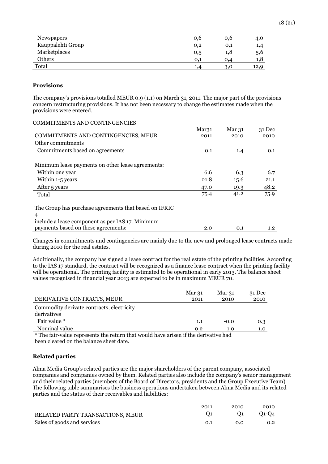| Newspapers        | 0,6 | 0,6      | 4,0  |
|-------------------|-----|----------|------|
| Kauppalehti Group | 0,2 | $_{0,1}$ | 1,4  |
| Marketplaces      | 0,5 | 1,8      | 5,6  |
| Others            | 0.1 | 0.4      | 1,8  |
| Total             |     | 3,0      | 12,9 |

#### **Provisions**

The company's provisions totalled MEUR 0.9 (1.1) on March 31, 2011. The major part of the provisions concern restructuring provisions. It has not been necessary to change the estimates made when the provisions were entered.

| COMMITMENTS AND CONTINGENCIES                         |                   |                   |                  |
|-------------------------------------------------------|-------------------|-------------------|------------------|
|                                                       | Mar <sub>31</sub> | Mar <sub>31</sub> | $31$ Dec         |
| COMMITMENTS AND CONTINGENCIES, MEUR                   | 2011              | 2010              | 2010             |
| Other commitments                                     |                   |                   |                  |
| Commitments based on agreements                       | 0.1               | 1.4               | 0.1              |
| Minimum lease payments on other lease agreements:     |                   |                   |                  |
| Within one year                                       | 6.6               | 6.3               | 6.7              |
| Within 1-5 years                                      | 21.8              | 15.6              | 21.1             |
| After 5 years                                         | 47.0              | 19.3              | 48.2             |
| Total                                                 | 75.4              | 41.2              | 75.9             |
| The Group has purchase agreements that based on IFRIC |                   |                   |                  |
| 4                                                     |                   |                   |                  |
| include a lease component as per IAS 17. Minimum      |                   |                   |                  |
| payments based on these agreements:                   | 2.0               | 0.1               | 1.2 <sub>2</sub> |

Changes in commitments and contingencies are mainly due to the new and prolonged lease contracts made during 2010 for the real estates.

Additionally, the company has signed a lease contract for the real estate of the printing facilities. According to the IAS 17 standard, the contract will be recognized as a finance lease contract when the printing facility will be operational. The printing facility is estimated to be operational in early 2013. The balance sheet values recognised in financial year 2013 are expected to be in maximum MEUR 70.

|                                                                                     | Mar 31 | Mar 31 | $31$ Dec |
|-------------------------------------------------------------------------------------|--------|--------|----------|
| DERIVATIVE CONTRACTS, MEUR                                                          | 2011   | 2010   | 2010     |
| Commodity derivate contracts, electricity<br>derivatives                            |        |        |          |
| Fair value *                                                                        | 1.1    | $-0.0$ | 0.3      |
| Nominal value                                                                       | 0.2    | 1.0    | 1.0      |
| * The fair-value represents the return that would have arisen if the derivative had |        |        |          |

ie return that would have arisen if the derivative had been cleared on the balance sheet date.

#### **Related parties**

Alma Media Group's related parties are the major shareholders of the parent company, associated companies and companies owned by them. Related parties also include the company's senior management and their related parties (members of the Board of Directors, presidents and the Group Executive Team). The following table summarises the business operations undertaken between Alma Media and its related parties and the status of their receivables and liabilities:

|                                  | 2011 | 2010 | 2010    |
|----------------------------------|------|------|---------|
| RELATED PARTY TRANSACTIONS, MEUR |      | O1 - | $O1-O4$ |
| Sales of goods and services      | 0.1  | 0.O  | 0.2     |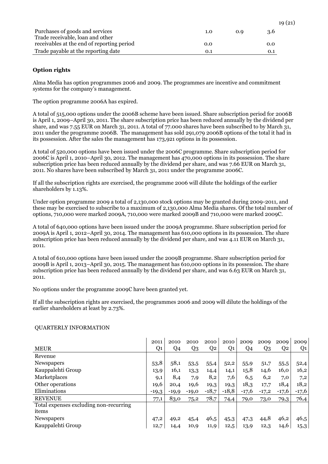|                                            |     |     | 19(21) |
|--------------------------------------------|-----|-----|--------|
| Purchases of goods and services            | 1.0 | 0.9 | 3.6    |
| Trade receivable, loan and other           |     |     |        |
| receivables at the end of reporting period | 0.0 |     | 0.0    |
| Trade payable at the reporting date        | 0.1 |     | 0.1    |

# **Option rights**

Alma Media has option programmes 2006 and 2009. The programmes are incentive and commitment systems for the company's management.

The option programme 2006A has expired.

A total of 515,000 options under the 2006B scheme have been issued. Share subscription period for 2006B is April 1, 2009–April 30, 2011. The share subscription price has been reduced annually by the dividend per share, and was 7.55 EUR on March 31, 2011. A total of 77.000 shares have been subscribed to by March 31, 2011 under the programme 2006B. The management has sold 291,079 2006B options of the total it had in its possession. After the sales the management has 173,921 options in its possession.

A total of 520,000 options have been issued under the 2006C programme. Share subscription period for 2006C is April 1, 2010–April 30, 2012. The management has 470,000 options in its possession. The share subscription price has been reduced annually by the dividend per share, and was 7.66 EUR on March 31, 2011. No shares have been subscribed by March 31, 2011 under the programme 2006C.

If all the subscription rights are exercised, the programme 2006 will dilute the holdings of the earlier shareholders by 1.13%.

Under option programme 2009 a total of 2,130,000 stock options may be granted during 2009-2011, and these may be exercised to subscribe to a maximum of 2,130,000 Alma Media shares. Of the total number of options, 710,000 were marked 2009A, 710,000 were marked 2009B and 710,000 were marked 2009C.

A total of 640,000 options have been issued under the 2009A programme. Share subscription period for 2009A is April 1, 2012–April 30, 2014. The management has 610,000 options in its possession. The share subscription price has been reduced annually by the dividend per share, and was 4.11 EUR on March 31, 2011.

A total of 610,000 options have been issued under the 2009B programme. Share subscription period for 2009B is April 1, 2013–April 30, 2015. The management has 610,000 options in its possession. The share subscription price has been reduced annually by the dividend per share, and was 6.63 EUR on March 31, 2011.

No options under the programme 2009C have been granted yet.

If all the subscription rights are exercised, the programmes 2006 and 2009 will dilute the holdings of the earlier shareholders at least by 2.73%.

|                                        | 2011    | 2010    | 2010           | 2010           | 2010           | 2009    | 2009    | 2009    | 2009    |
|----------------------------------------|---------|---------|----------------|----------------|----------------|---------|---------|---------|---------|
| <b>MEUR</b>                            | Q1      | Q4      | Q <sub>3</sub> | Q <sub>2</sub> | Q <sub>1</sub> | Q4      | Q3      | Q2      | Q1      |
| Revenue                                |         |         |                |                |                |         |         |         |         |
| Newspapers                             | 53,8    | 58,1    | 53,5           | 55,4           | 52,2           | 55,9    | 51,7    | 55,5    | 52,4    |
| Kauppalehti Group                      | 13,9    | 16,1    | 13,3           | 14,4           | 14,1           | 15,8    | 14,6    | 16,0    | 16,2    |
| Marketplaces                           | 9,1     | 8,4     | 7,9            | 8,2            | 7,6            | 6,5     | 6,2     | 7,0     | 7,2     |
| Other operations                       | 19,6    | 20,4    | 19,6           | 19,3           | 19,3           | 18,3    | 17,7    | 18,4    | 18,2    |
| Eliminations                           | $-19,3$ | $-19,9$ | $-19,0$        | $-18,7$        | $-18,8$        | $-17,6$ | $-17,2$ | $-17,6$ | $-17,6$ |
| <b>REVENUE</b>                         | 77,1    | 83,0    | 75,2           | 78,7           | 74,4           | 79,0    | 73,0    | 79,3    | 76,4    |
| Total expenses excluding non-recurring |         |         |                |                |                |         |         |         |         |
| items                                  |         |         |                |                |                |         |         |         |         |
| Newspapers                             | 47,2    | 49,2    | 45,4           | 46,5           | 45,3           | 47,3    | 44,8    | 46,2    | 46,5    |
| Kauppalehti Group                      | 12,7    | 14,4    | 10,9           | 11,9           | 12,5           | 13,9    | 12,3    | 14,6    | 15,3    |

# QUARTERLY INFORMATION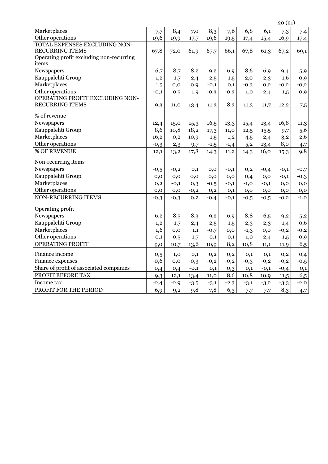|                                          |          |          |          |          |          |          |          | 20(21)   |          |
|------------------------------------------|----------|----------|----------|----------|----------|----------|----------|----------|----------|
| Marketplaces                             | 7,7      | 8,4      | 7,0      | 8,3      | 7,6      | 6,8      | 6,1      | 7,3      | 7,4      |
| Other operations                         | 19,6     | 19,9     | 17,7     | 19,6     | 19,5     | 17,4     | 15,4     | 16,9     | 17,4     |
| TOTAL EXPENSES EXCLUDING NON-            |          |          |          |          |          |          |          |          |          |
| <b>RECURRING ITEMS</b>                   | 67,8     | 72,0     | 61,9     | 67,7     | 66,1     | 67,8     | 61,3     | 67,2     | 69,1     |
| Operating profit excluding non-recurring |          |          |          |          |          |          |          |          |          |
| items                                    |          |          |          |          |          |          |          |          |          |
| Newspapers                               | 6,7      | 8,7      | 8,2      | 9,2      | 6,9      | 8,6      | 6,9      | 9,4      | 5,9      |
| Kauppalehti Group                        | 1,2      | 1,7      | 2,4      | 2,5      | 1,5      | 2,0      | 2,3      | 1,6      | 0,9      |
| Marketplaces                             | 1,5      | $_{0,0}$ | 0,9      | $-0,1$   | 0,1      | $-0,3$   | $_{0,2}$ | $-0,2$   | $-0,2$   |
| Other operations                         | $-0,1$   | 0,5      | 1,9      | $-0,3$   | $-0,3$   | 1,0      | 2,4      | 1,5      | 0,9      |
| OPERATING PROFIT EXCLUDING NON-          |          |          |          |          |          |          |          |          |          |
| <b>RECURRING ITEMS</b>                   | 9,3      | 11,0     | 13,4     | 11,3     | 8,3      | 11,3     | 11,7     | 12,2     | 7,5      |
| % of revenue                             |          |          |          |          |          |          |          |          |          |
| Newspapers                               | 12,4     | 15,0     | 15,3     | 16,5     | 13,3     | 15,4     | 13,4     | 16,8     | 11,3     |
| Kauppalehti Group                        | 8,6      | 10,8     | 18,2     | 17,3     | 11,0     | 12,5     | 15,5     | 9,7      | 5,6      |
| Marketplaces                             | 16,2     | $_{0,2}$ | 10,9     | $-1,5$   | 1,2      | $-4,5$   | 2,4      | $-3,2$   | $-2,6$   |
| Other operations                         | $-0,3$   | 2,3      | 9,7      | $-1,5$   | $-1,4$   | 5,2      | 13,4     | 8,0      | 4,7      |
| % OF REVENUE                             | 12,1     | 13,2     | 17,8     | 14,3     | 11,2     | 14,3     | 16,0     | 15,3     | 9,8      |
| Non-recurring items                      |          |          |          |          |          |          |          |          |          |
| Newspapers                               | $-0,5$   | $-0,2$   | 0,1      | $_{0,0}$ | $-0,1$   | 0,2      | $-0,4$   | $-0,1$   | $-0,7$   |
| Kauppalehti Group                        | 0,0      | $_{0,0}$ | $_{0,0}$ | $_{0,0}$ | $_{0,0}$ | 0,4      | $_{0,0}$ | $-0,1$   | $-0,3$   |
| Marketplaces                             | 0,2      | $-0,1$   | 0,3      | $-0,5$   | $-0,1$   | $-1,0$   | $-0,1$   | 0,0      | $_{0,0}$ |
| Other operations                         | $_{0,0}$ | $_{0,0}$ | $-0,2$   | $_{0,2}$ | 0,1      | $_{0,0}$ | $_{0,0}$ | 0,0      | $_{0,0}$ |
| NON-RECURRING ITEMS                      | $-0,3$   | $-0,3$   | 0,2      | $-0,4$   | $-0,1$   | $-0,5$   | $-0,5$   | $-0,2$   | $-1,0$   |
|                                          |          |          |          |          |          |          |          |          |          |
| Operating profit                         |          |          |          |          |          |          |          |          |          |
| Newspapers                               | 6,2      | 8,5      | 8,3      | 9,2      | 6,9      | 8,8      | 6,5      | 9,2      | 5,2      |
| Kauppalehti Group                        | 1,2      | 1,7      | 2,4      | 2,5      | 1,5      | 2,3      | 2,3      | 1,4      | 0,6      |
| Marketplaces                             | 1,6      | $_{0,0}$ | 1,1      | $-0,7$   | $_{0,0}$ | $-1,3$   | $_{0,0}$ | $-0,2$   | $-0,2$   |
| Other operations                         | $-0,1$   | 0,5      | 1,7      | $-0,1$   | $-0,1$   | 1,0      | 2,4      | 1,5      | 0,9      |
| OPERATING PROFIT                         | 9,0      | 10,7     | 13,6     | 10,9     | 8,2      | 10,8     | 11,1     | 11,9     | 6,5      |
| Finance income                           | 0,5      | 1,0      | 0,1      | $_{0,2}$ | $_{0,2}$ | 0,1      | 0,1      | $_{0,2}$ | 0,4      |
| Finance expenses                         | $-0,6$   | $_{0,0}$ | $-0,3$   | $-0,2$   | $-0,2$   | $-0,3$   | $-0,2$   | $-0,2$   | $-0,5$   |
| Share of profit of associated companies  | 0,4      | 0,4      | $-0,1$   | 0,1      | 0,3      | $_{0,1}$ | $-0,1$   | $-0,4$   | $_{0,1}$ |
| PROFIT BEFORE TAX                        | 9,3      | 12,1     | 13,4     | 11,0     | 8,6      | 10,8     | 10,9     | 11,5     | 6,5      |
| Income tax                               | $-2,4$   | $-2,9$   | $-3,5$   | $-3,1$   | $-2,3$   | $-3,1$   | $-3,2$   | $-3,3$   | $-2,0$   |
| PROFIT FOR THE PERIOD                    | 6,9      | 9,2      | 9,8      | 7,8      | 6,3      | 7,7      | 7,7      | 8,3      | 4,7      |